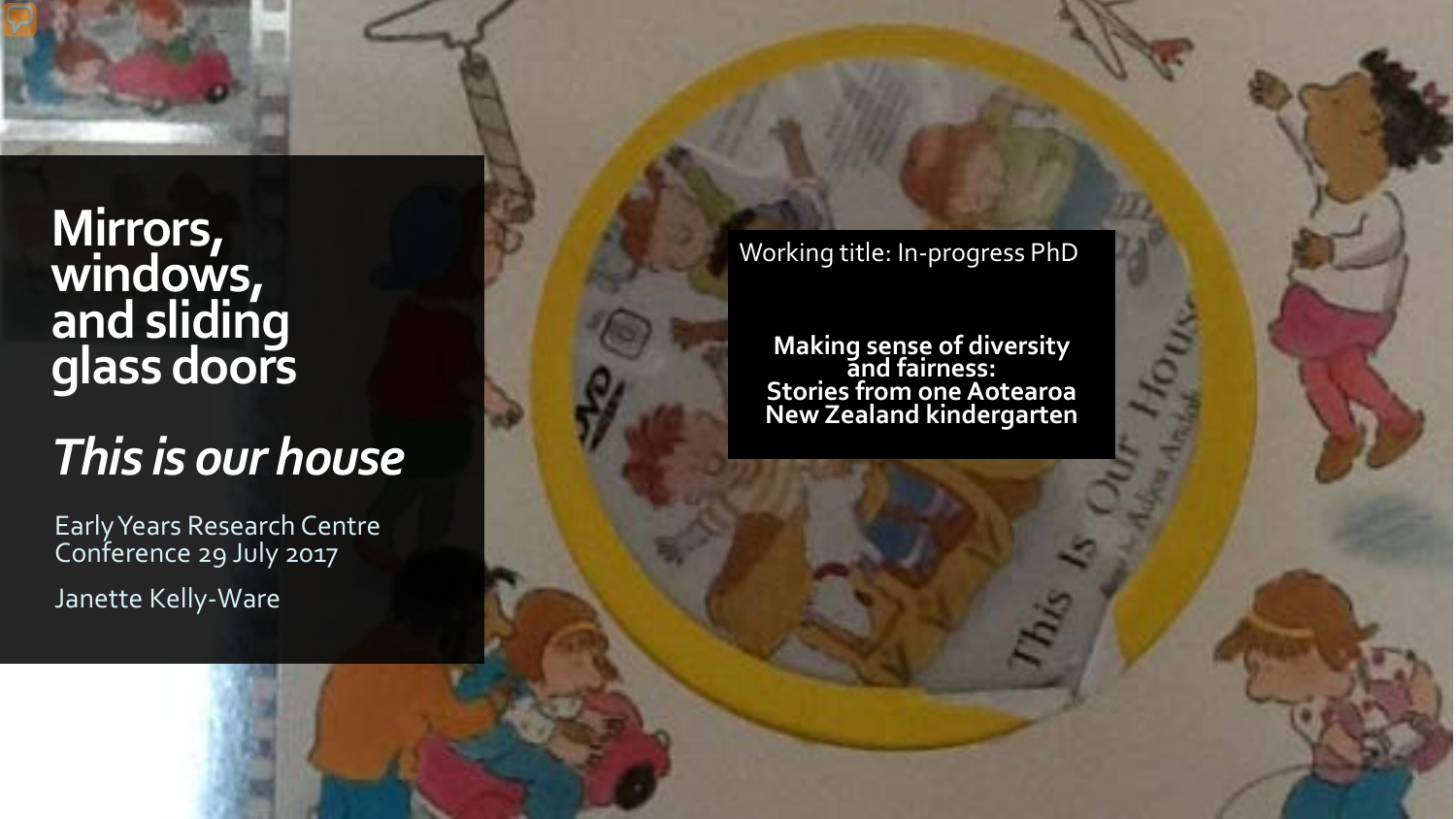**Mirrors, windows, and sliding glass doors** 

# *This is our house*

Early Years Research Centre Conference 29 July 2017 Janette Kelly -Ware

Working title: In -progress PhD

**Making sense of diversity and fairness: Stories from one Aotearoa New Zealand kindergarten**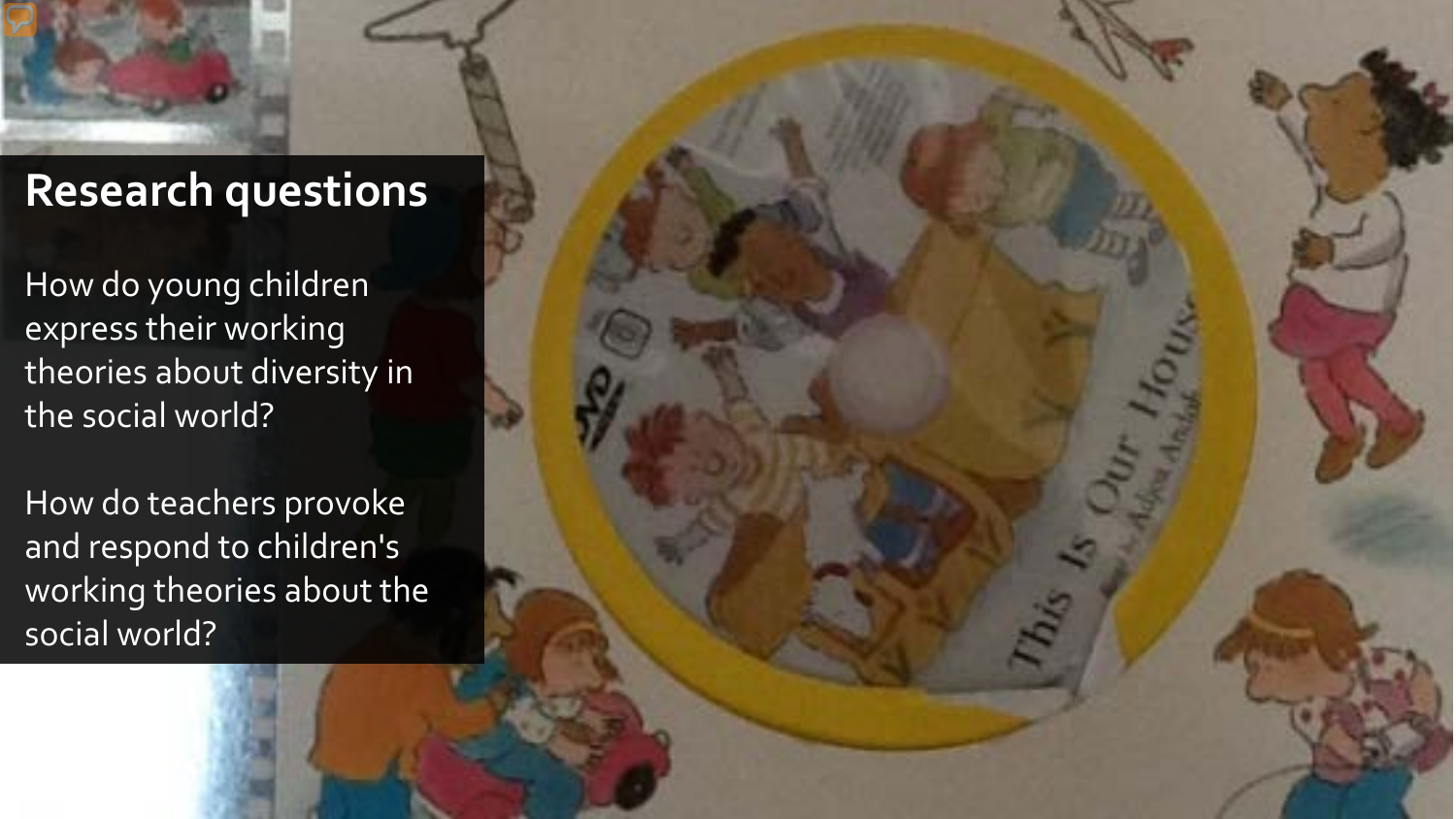

## **Research questions**

How do young children express their working theories about diversity in the social world?

How do teachers provoke and respond to children's working theories about the social world?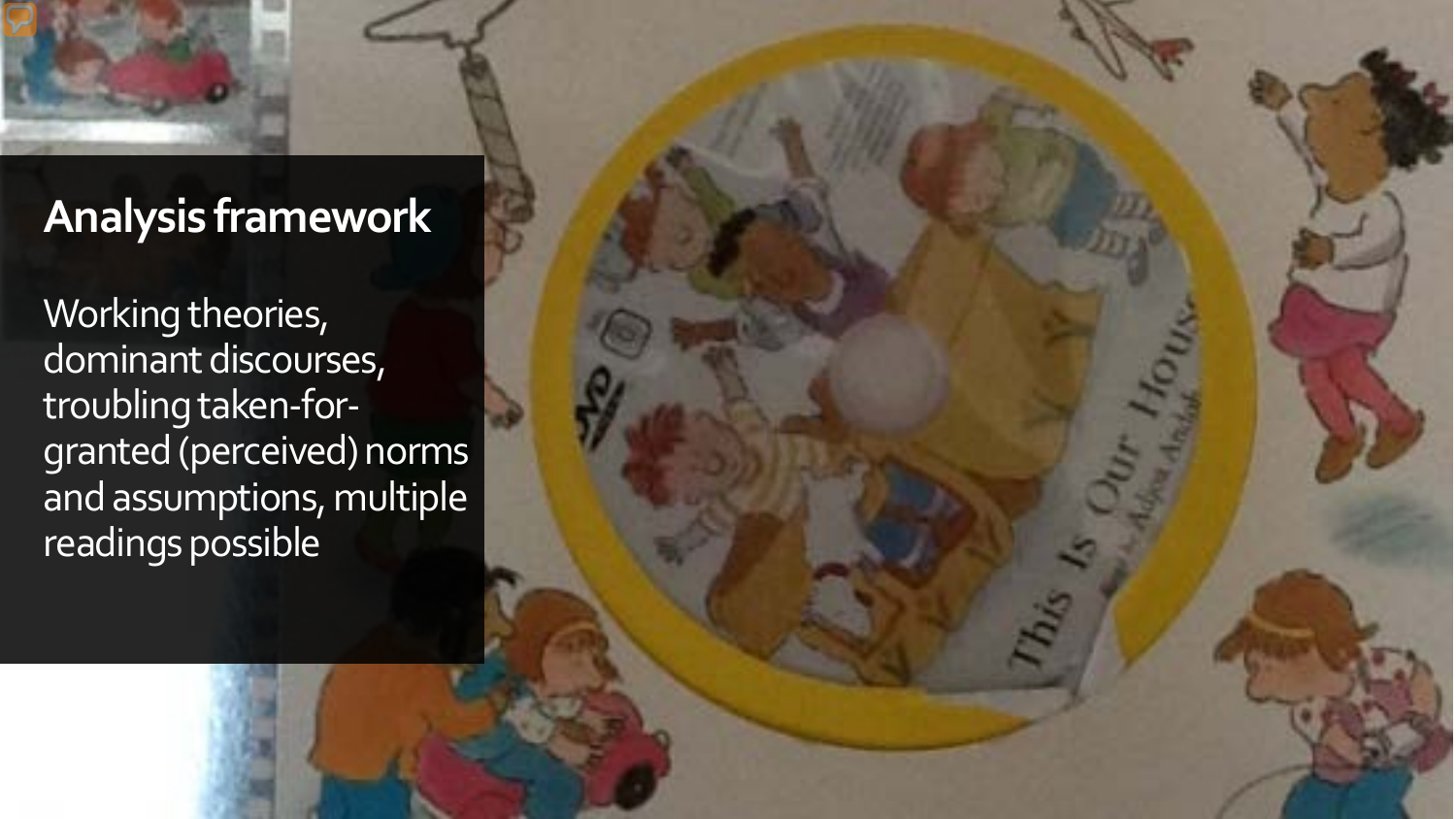## **Analysis framework**

Working theories, dominant discourses, troubling taken-forgranted (perceived) norms and assumptions, multiple readings possible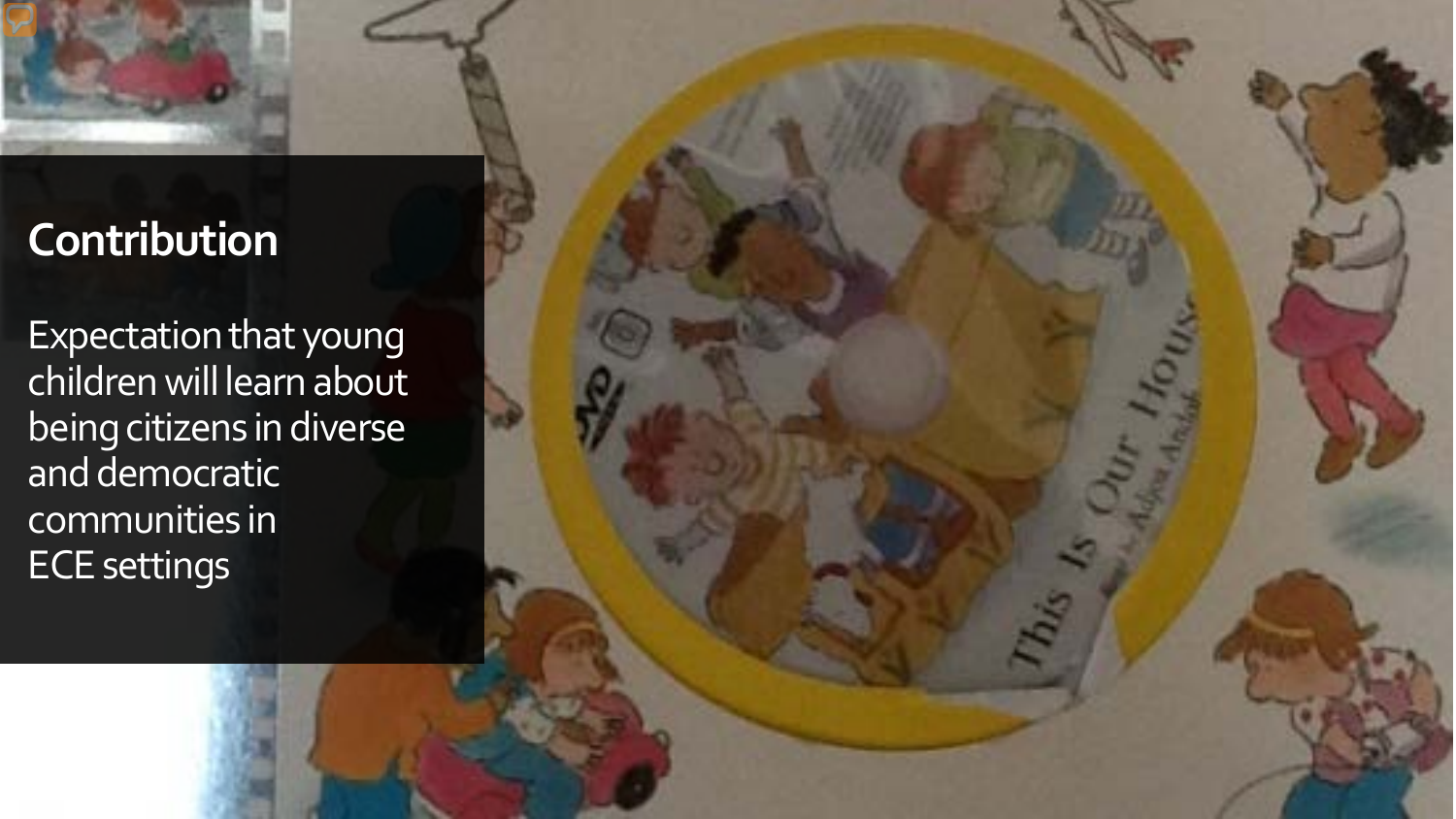

## **Contribution**

Expectation that young children will learn about being citizens in diverse and democratic communities in ECE settings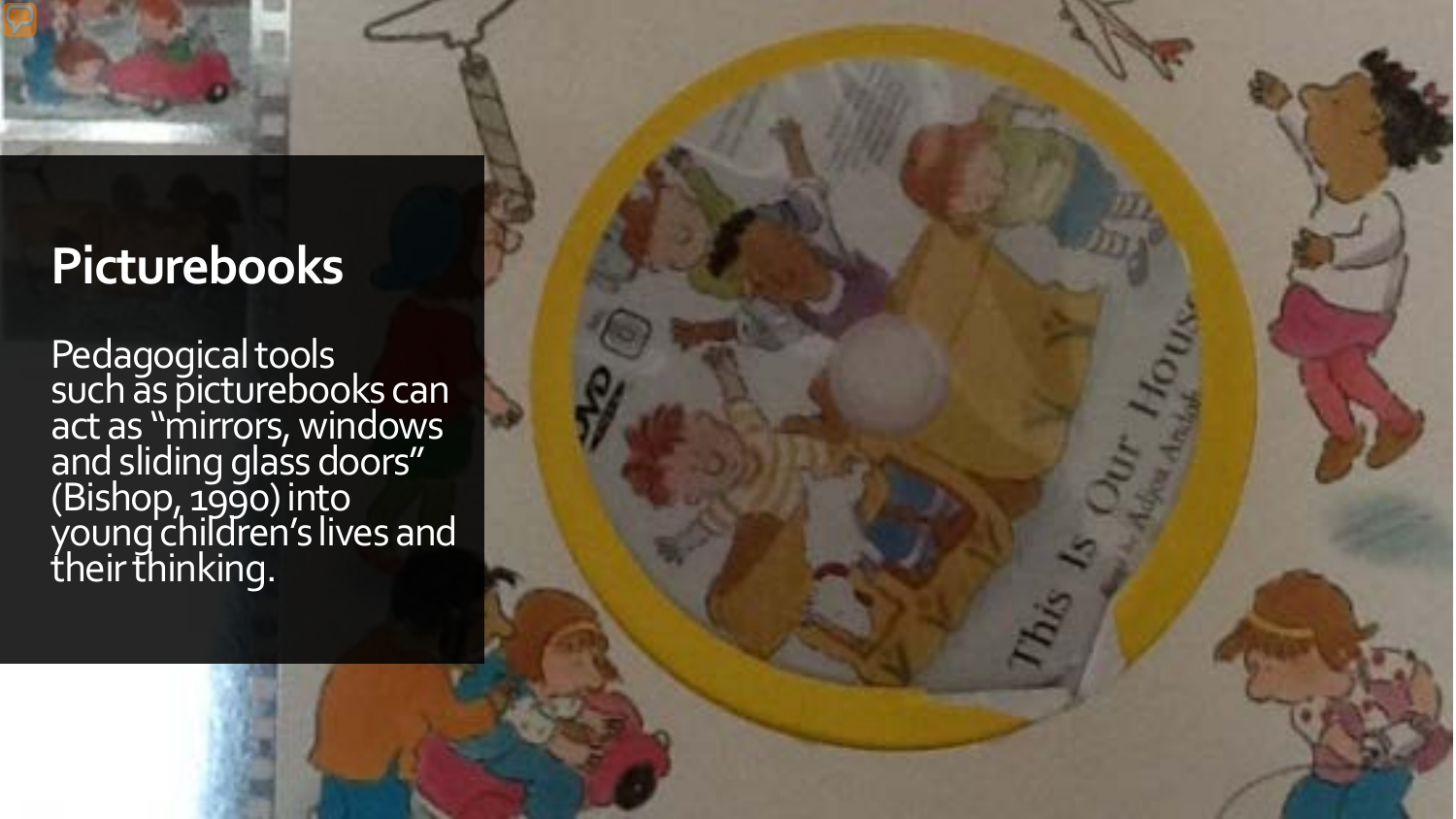

# **Picturebooks**

Pedagogical tools such as picturebooks can act as "mirrors, windows and sliding glass doors" (Bishop, 1990) into young children's lives and their thinking.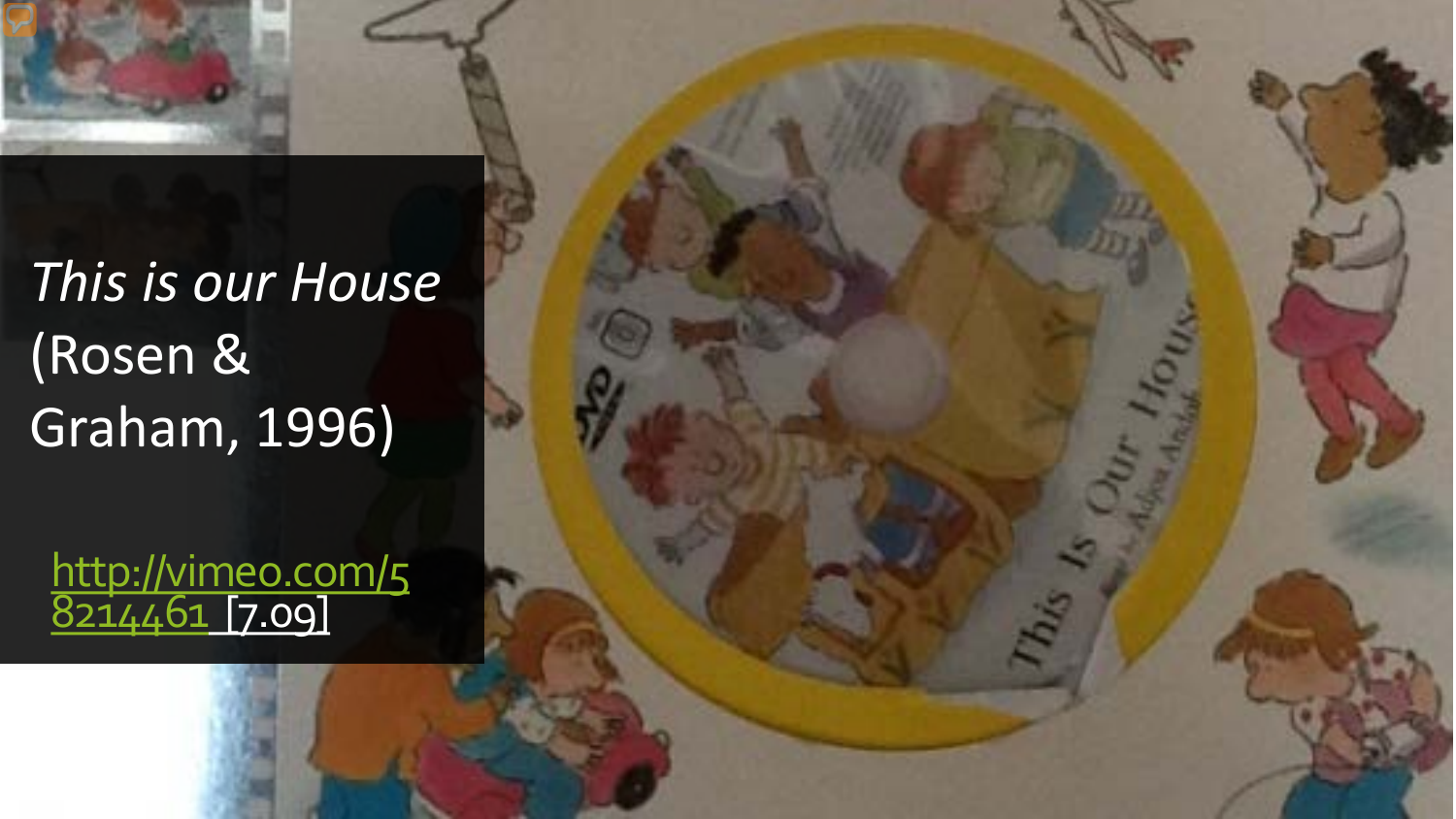

# *This is our House* (Rosen & Graham, 1996)

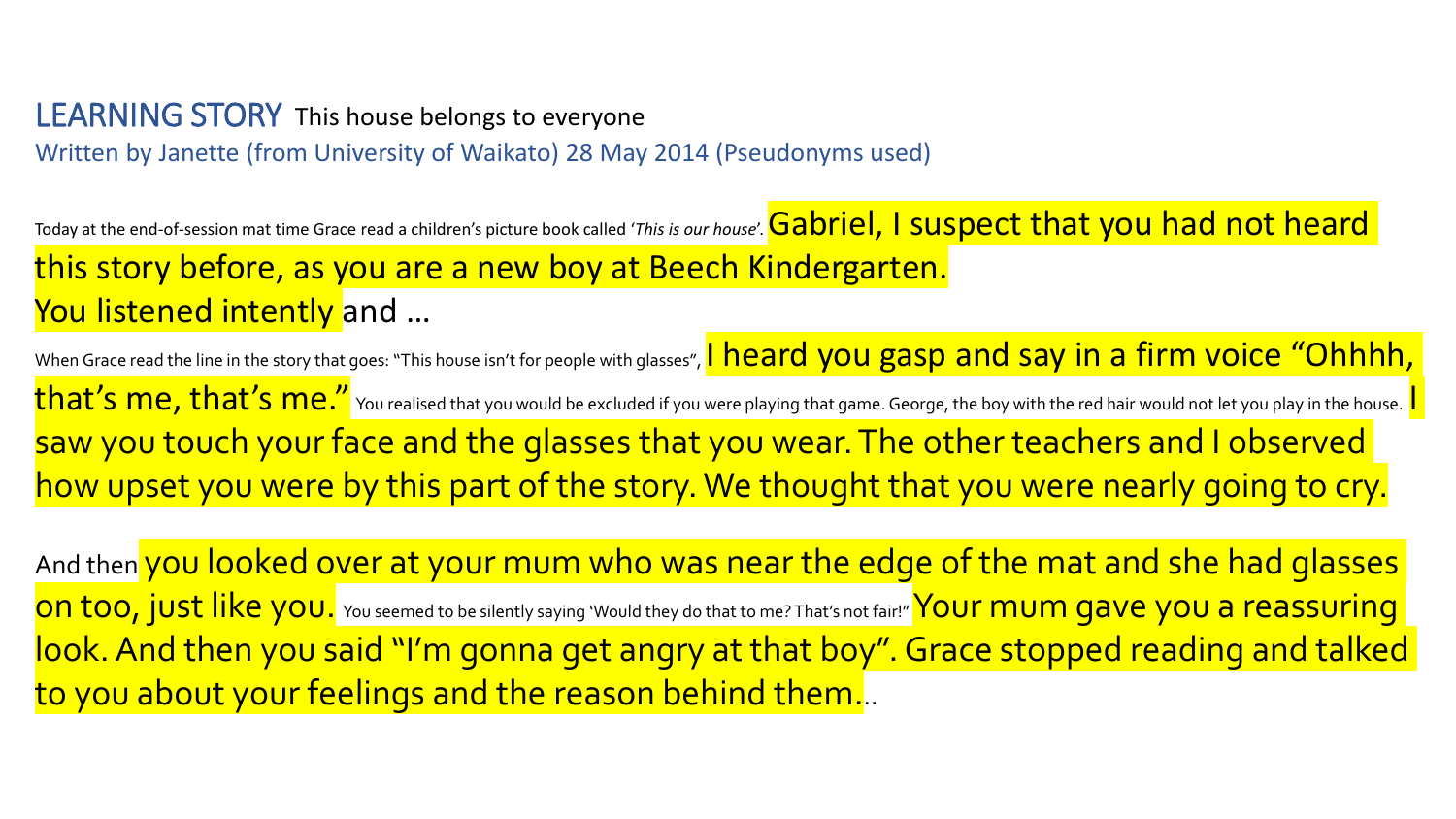#### LEARNING STORY This house belongs to everyone Written by Janette (from University of Waikato) 28 May 2014 (Pseudonyms used)

Today at the end-of-session mat time Grace read a children's picture book called '*This is our house'*. **Gabriel, I suspect that you had not heard** this story before, as you are a new boy at Beech Kindergarten. You listened intently and ...

When Grace read the line in the story that goes: "This house isn't for people with glasses", I heard you gasp and say in a firm voice "Ohhhh, that's me, that's me." You realised that you would be excluded if you were playing that game. George, the boy with the red hair would not let you play in the house.  $\mathsf{I}$ saw you touch your face and the glasses that you wear. The other teachers and I observed how upset you were by this part of the story. We thought that you were nearly going to cry.

And then you looked over at your mum who was near the edge of the mat and she had glasses on too, just like you. You seemed to be silently saying 'Would they do that to me? That's not fair!" Your mum gave you a reassuring look. And then you said "I'm gonna get angry at that boy". Grace stopped reading and talked to you about your feelings and the reason behind them.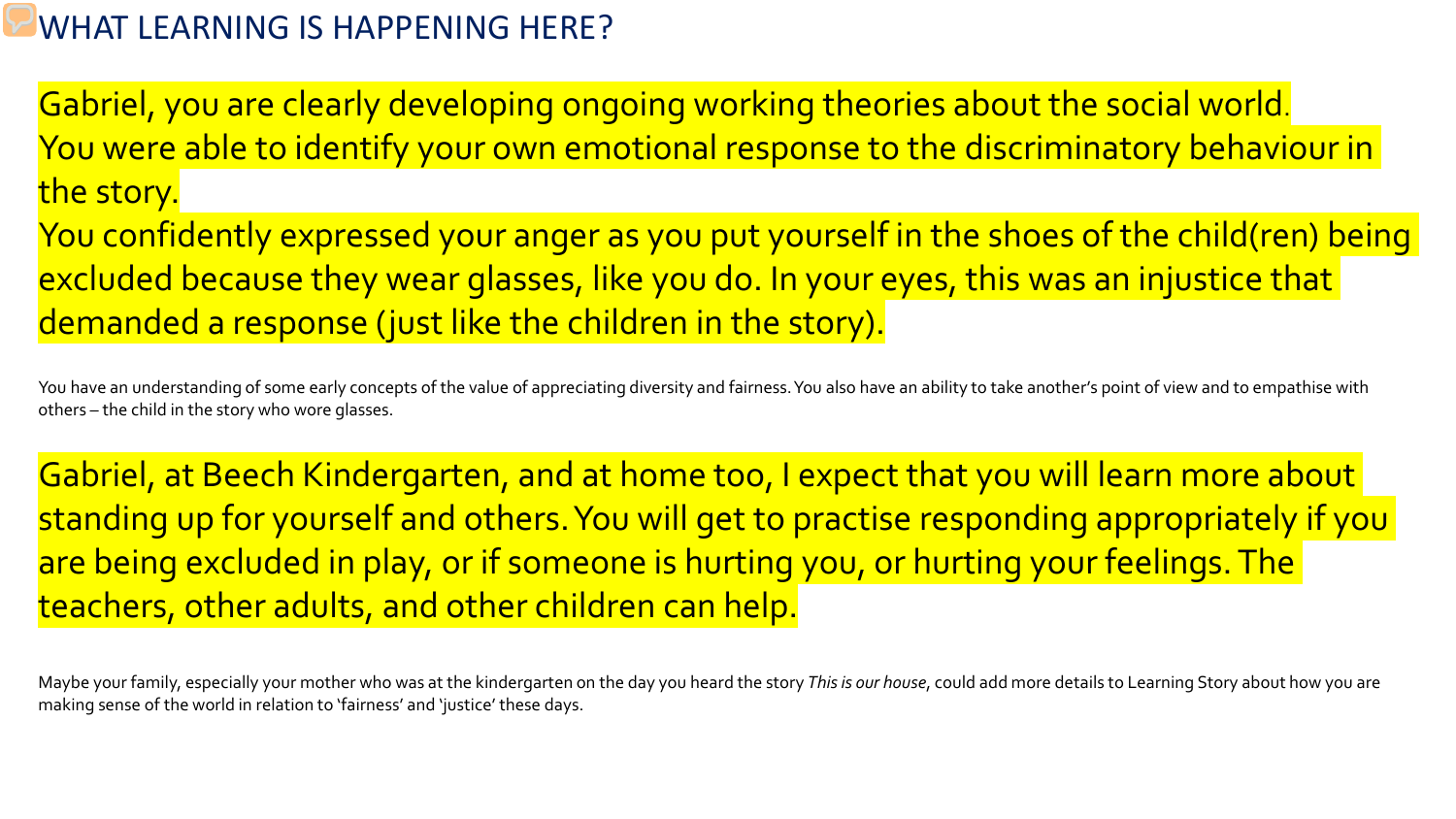#### WHAT LEARNING IS HAPPENING HERE?

Gabriel, you are clearly developing ongoing working theories about the social world. You were able to identify your own emotional response to the discriminatory behaviour in the story.

You confidently expressed your anger as you put yourself in the shoes of the child(ren) being excluded because they wear glasses, like you do. In your eyes, this was an injustice that demanded a response (just like the children in the story).

You have an understanding of some early concepts of the value of appreciating diversity and fairness. You also have an ability to take another's point of view and to empathise with others – the child in the story who wore glasses.

Gabriel, at Beech Kindergarten, and at home too, I expect that you will learn more about standing up for yourself and others. You will get to practise responding appropriately if you are being excluded in play, or if someone is hurting you, or hurting your feelings. The teachers, other adults, and other children can help.

Maybe your family, especially your mother who was at the kindergarten on the day you heard the story *This is our house*, could add more details to Learning Story about how you are making sense of the world in relation to 'fairness' and 'justice' these days.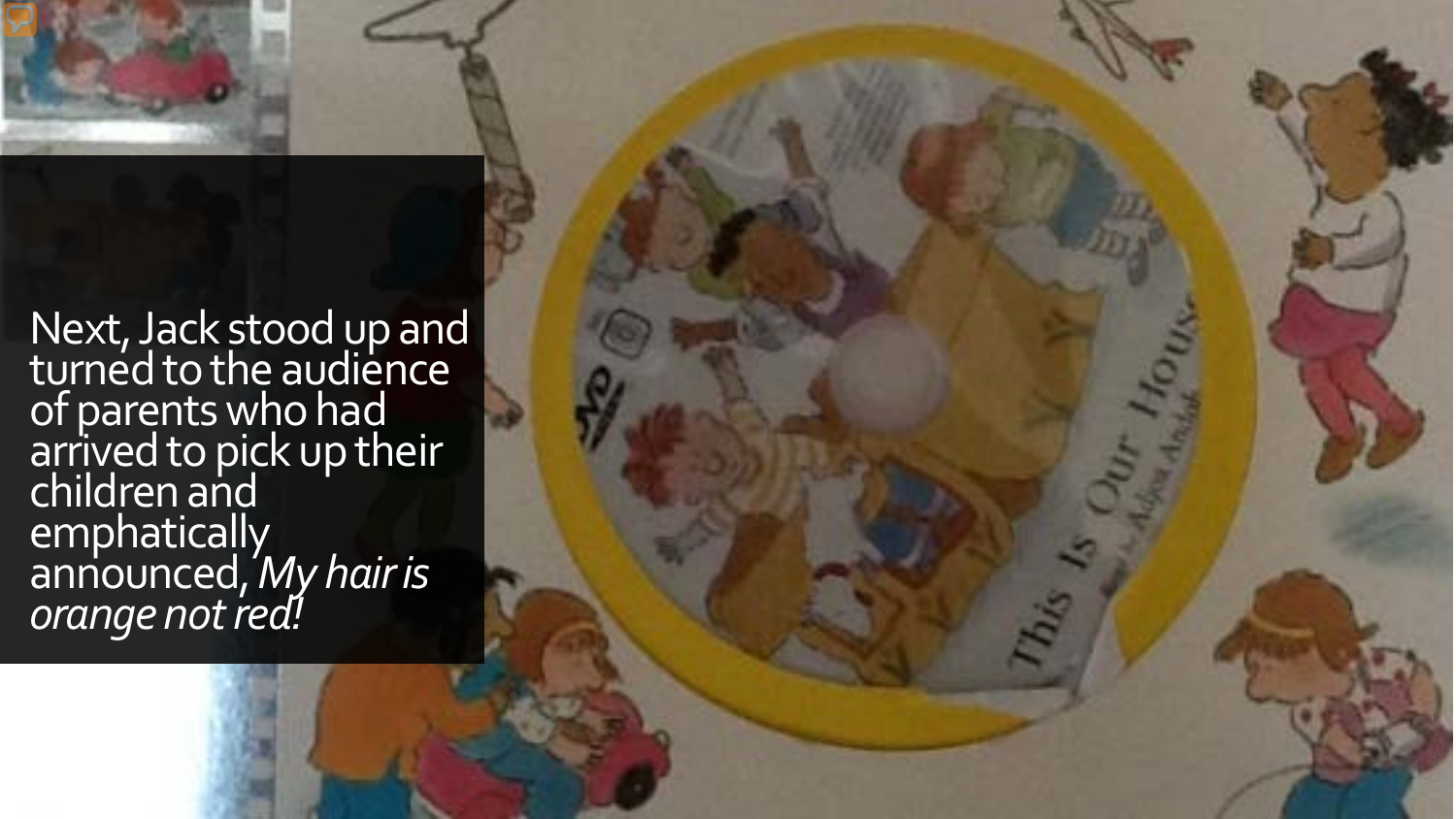

Next, Jack stood up and turned to the audience of parents who had arrived to pick up their children and emphatically announced, *My hair is orange not red!*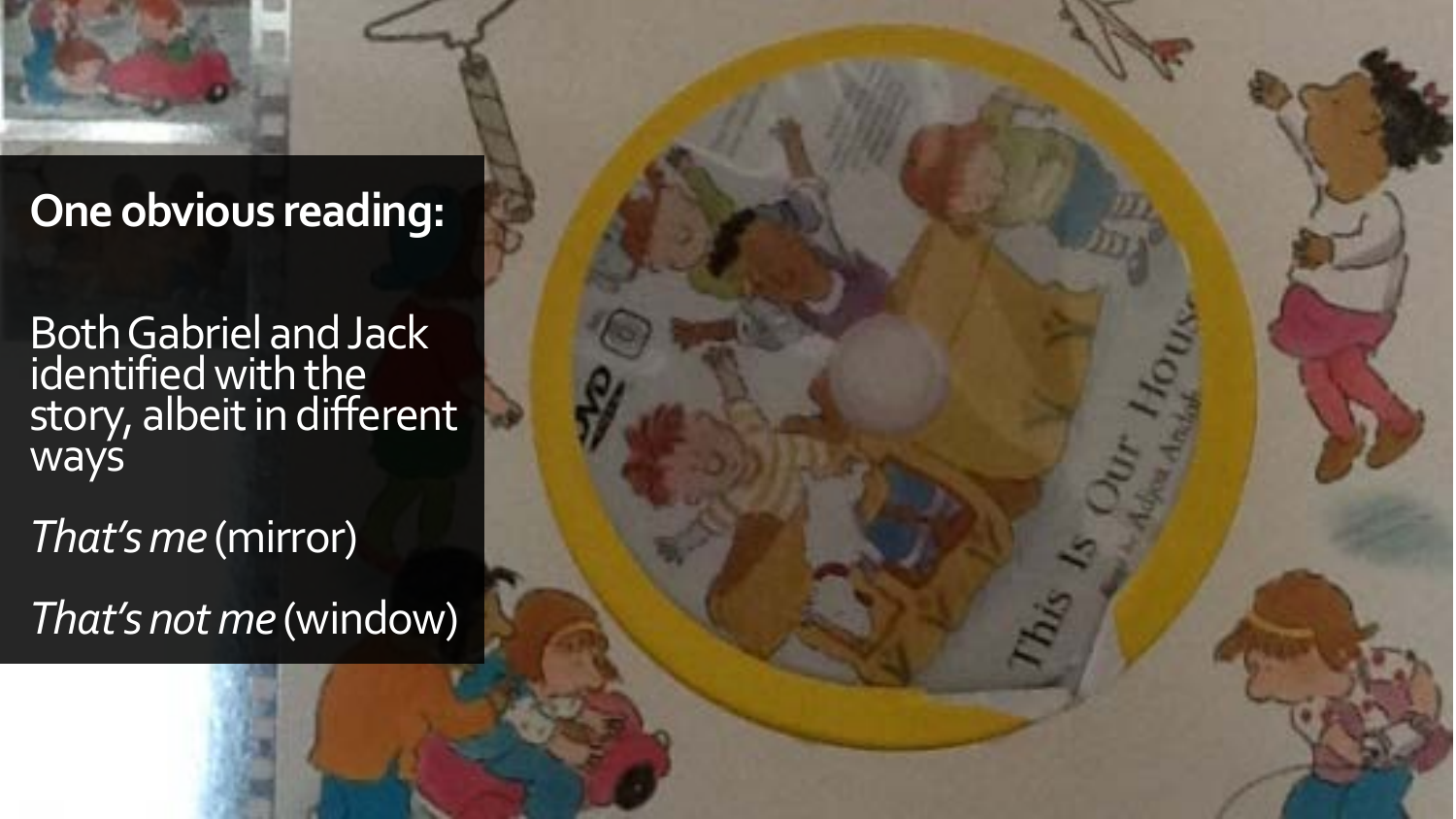## **One obvious reading:**

Both Gabriel and Jack identified with the story, albeit in different ways

*That's me* (mirror)

*That's not me* (window)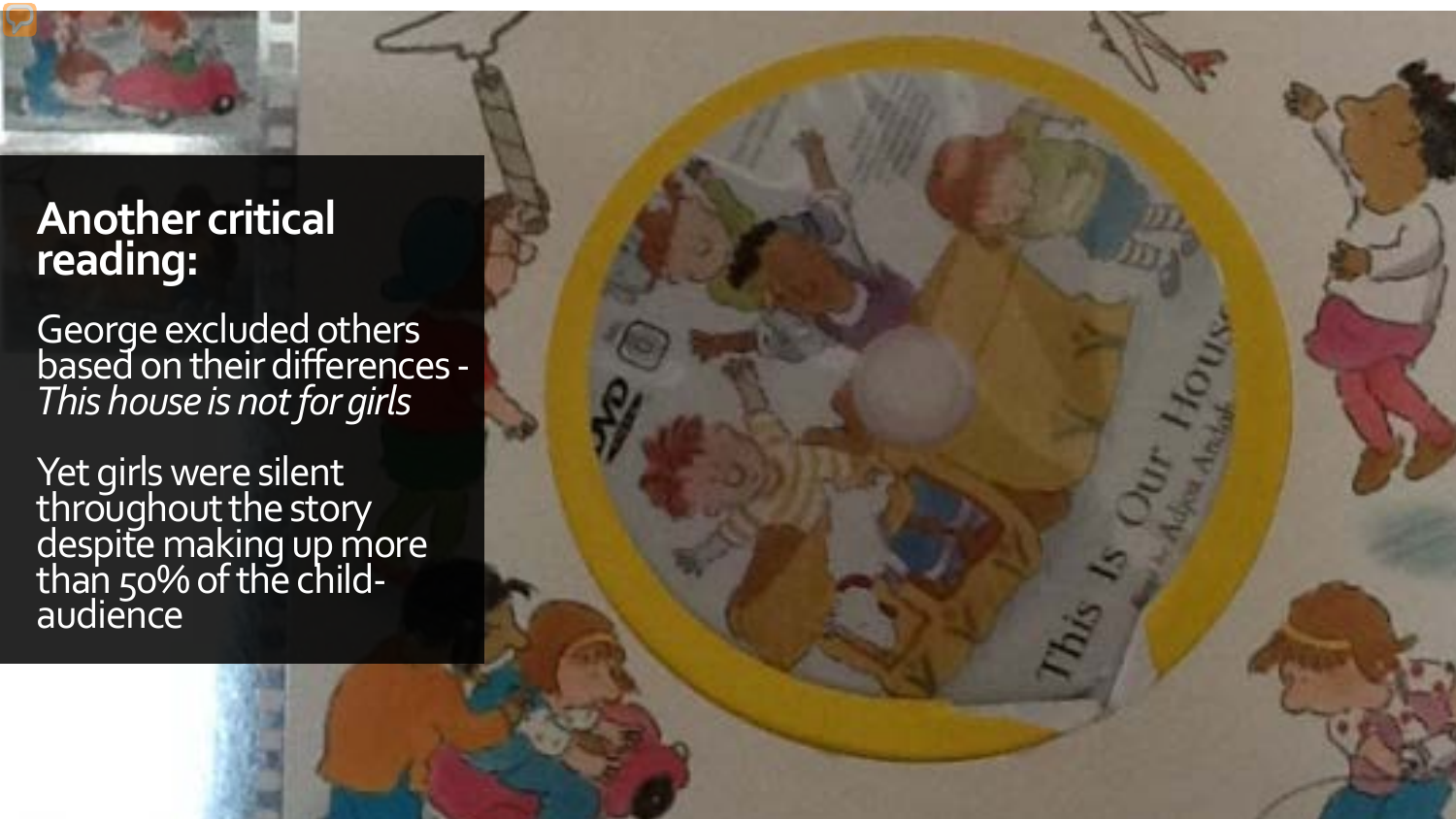## **Another critical reading:**

George excluded others based on their differences - *This house is not for girls*

Yet girls were silent throughout the story despite making up more than 50% of the child-<br>audience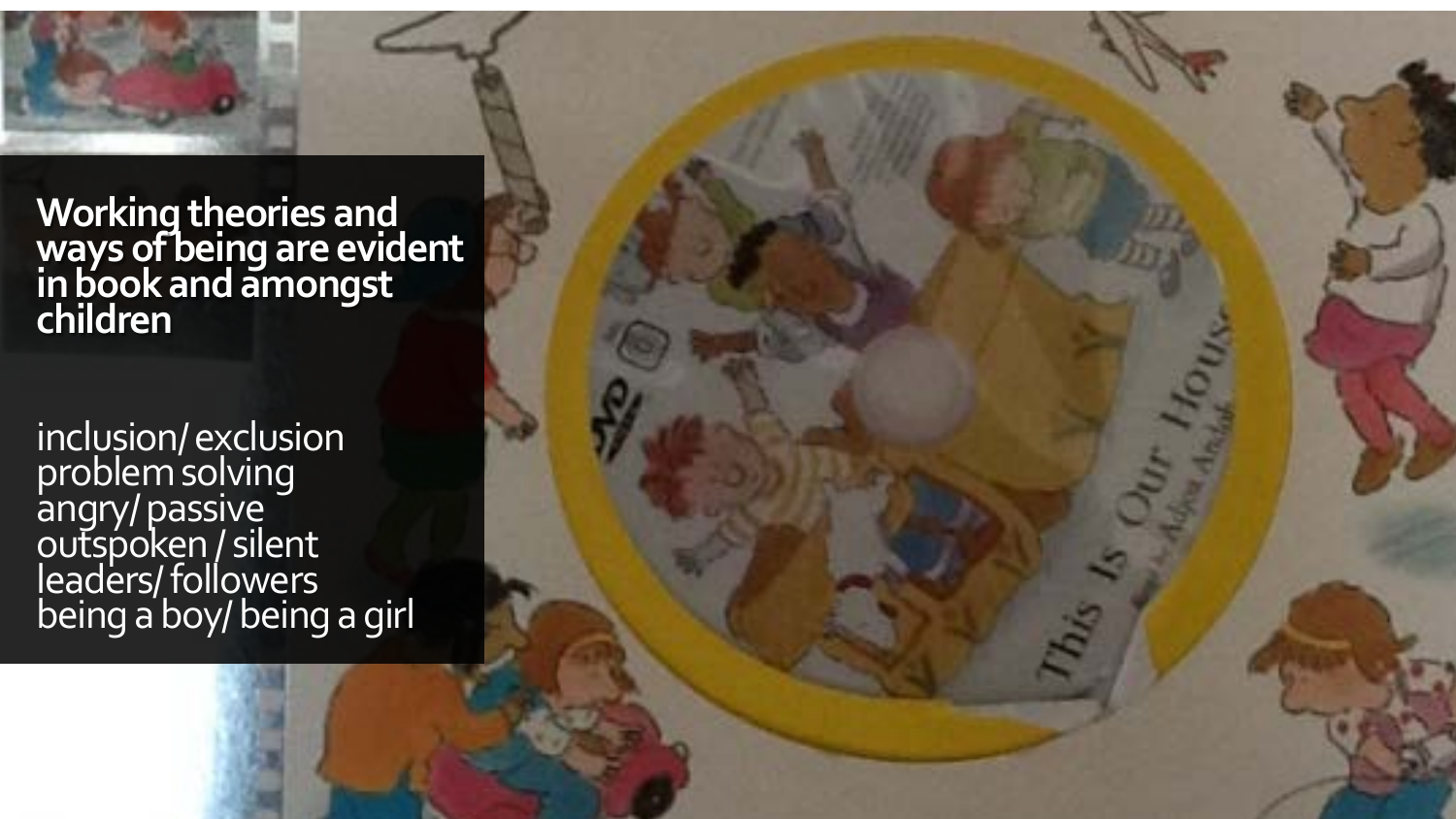**Working theories and ways of being are evident in book and amongst children**

inclusion/ exclusion problem solving angry/ passive outspoken / silent leaders/ followers being a boy/ being a girl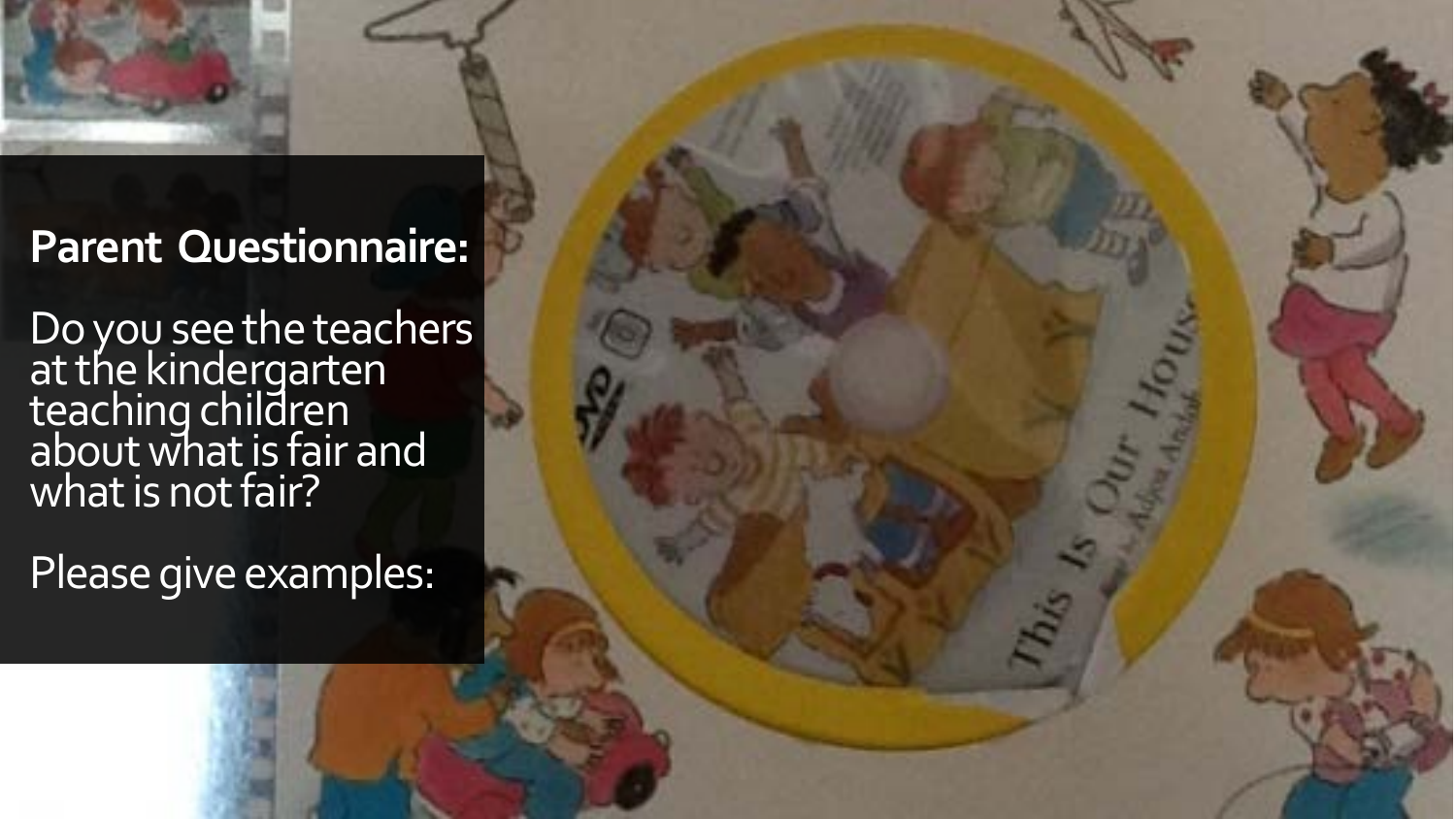

## **Parent Questionnaire:**

Do you see the teachers at the kindergarten teaching children about what is fair and what is not fair?

Please give examples: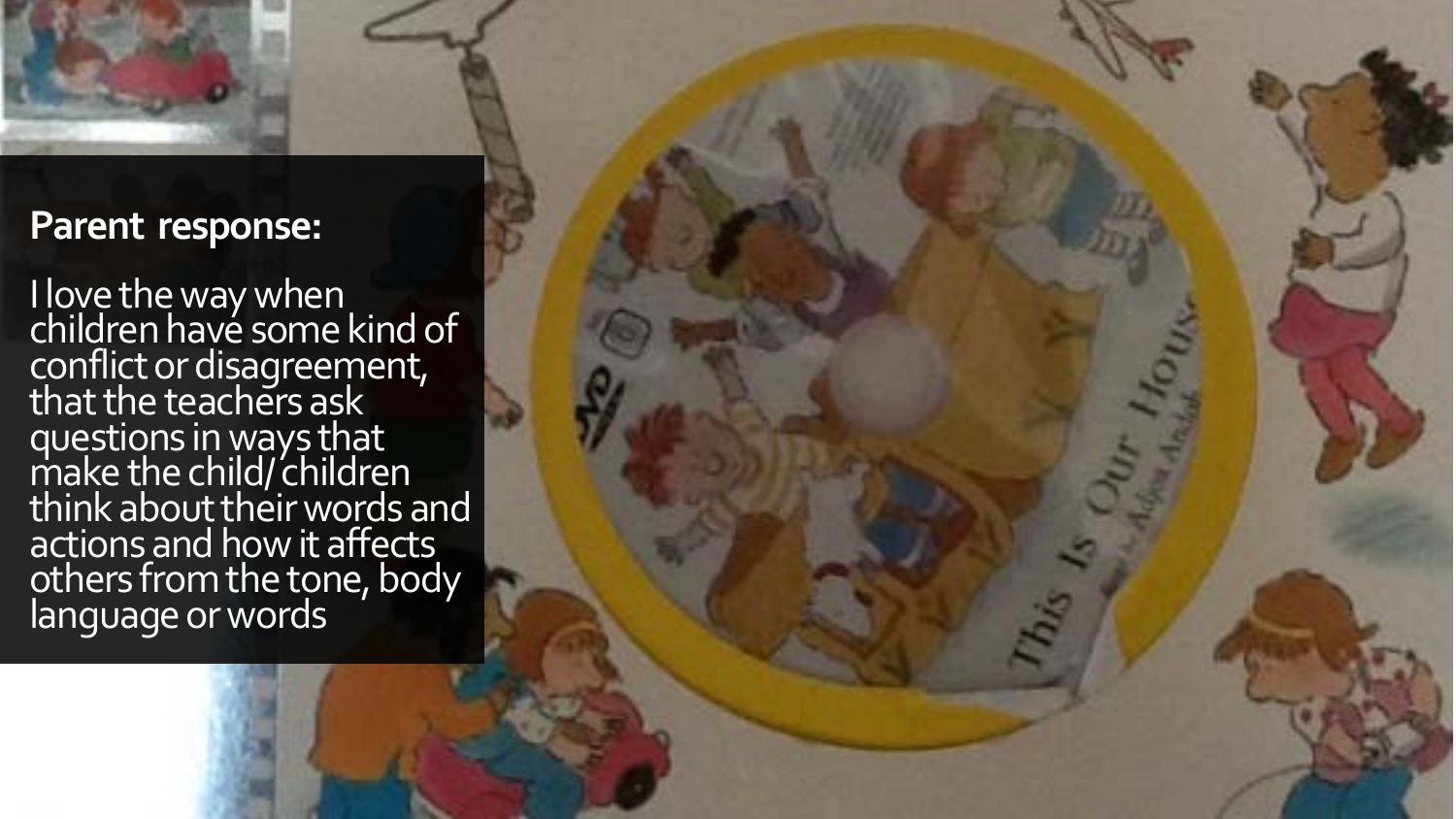

#### **Parent response:**

I love the way when children have some kind of conflict or disagreement, that the teachers ask questions in ways that make the child/ children think about their words and actions and how it affects others from the tone, body language or words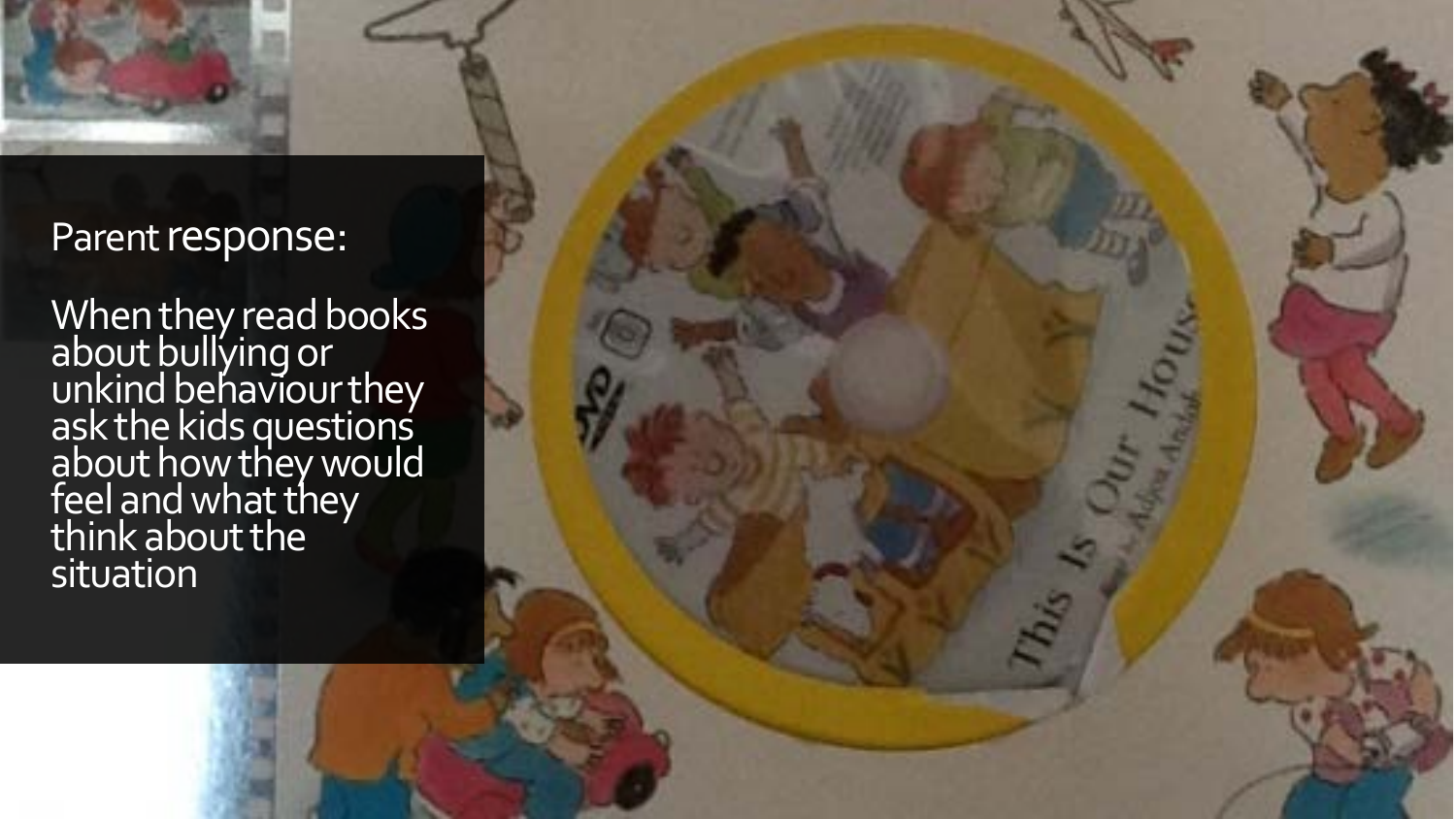

### Parent response:

When they read books about bullying or unkind behaviour they ask the kids questions about how they would feel and what they think about the situation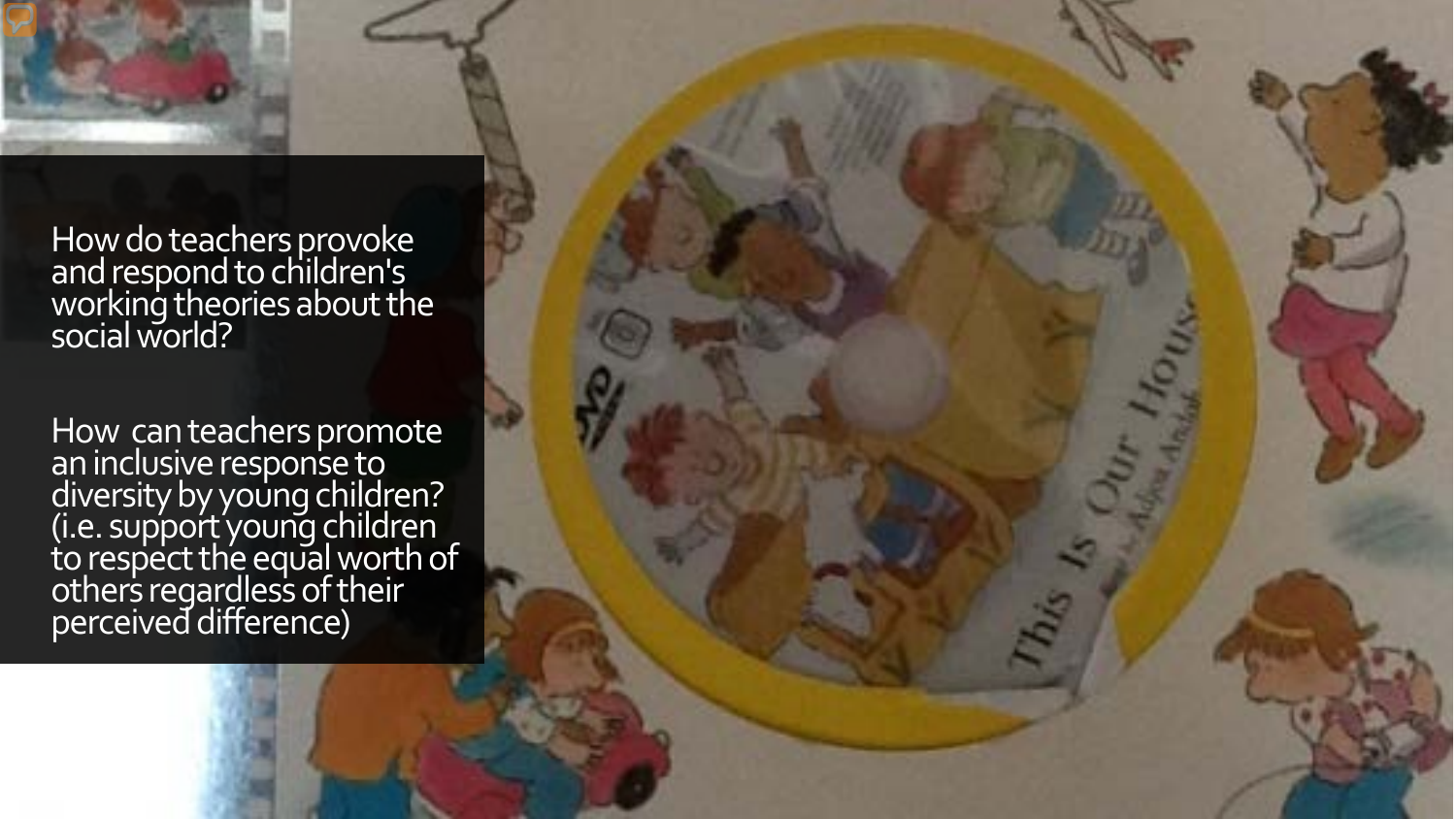

How do teachers provoke and respond to children's working theories about the social world?

How can teachers promote<br>an inclusive response to diversity by young children? (i.e. support young children to respect the equal worth of others regardless of their perceived difference)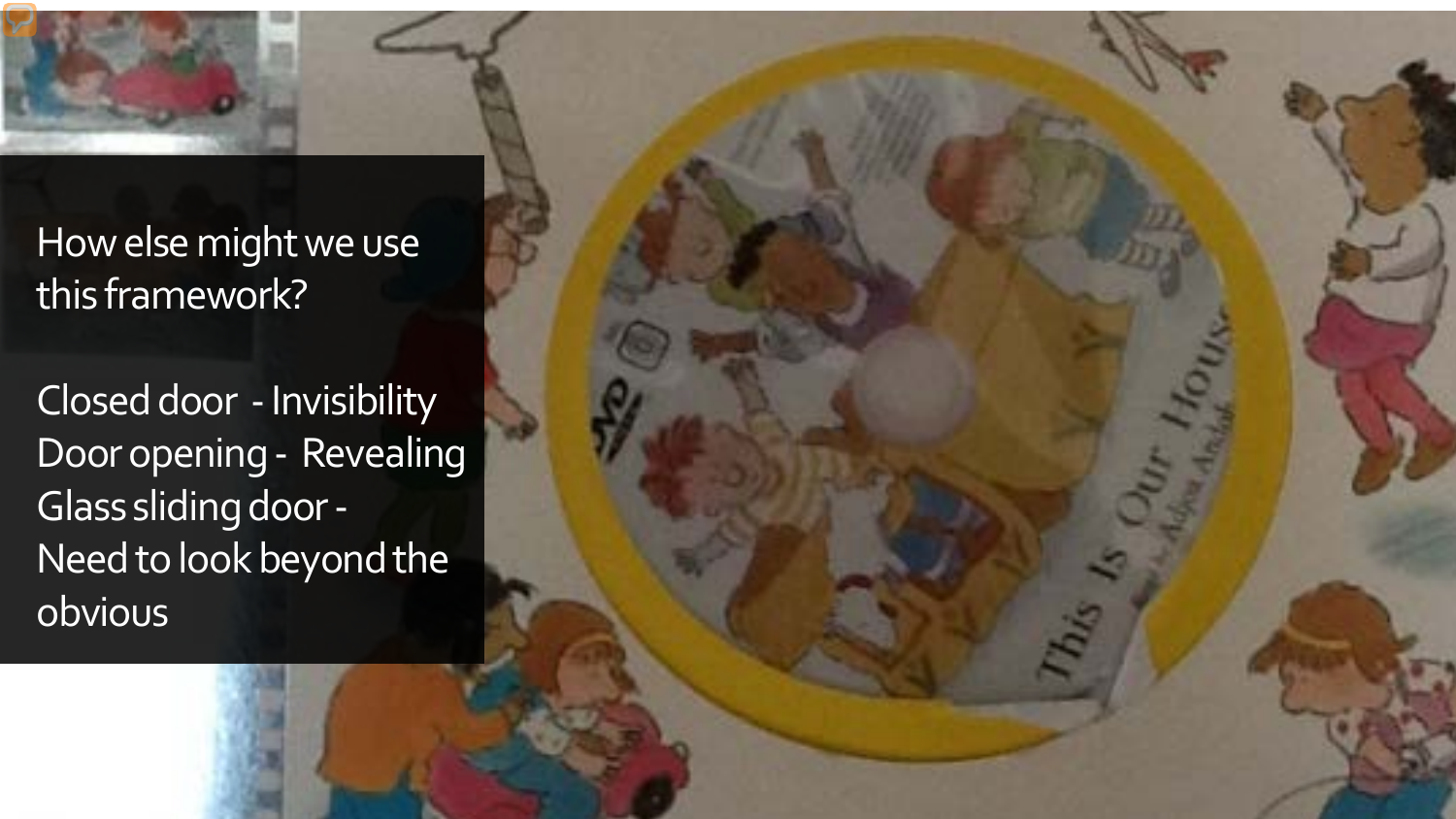

How else might we use this framework?

Closed door -Invisibility Door opening - Revealing Glass sliding door - Need to look beyond the obvious